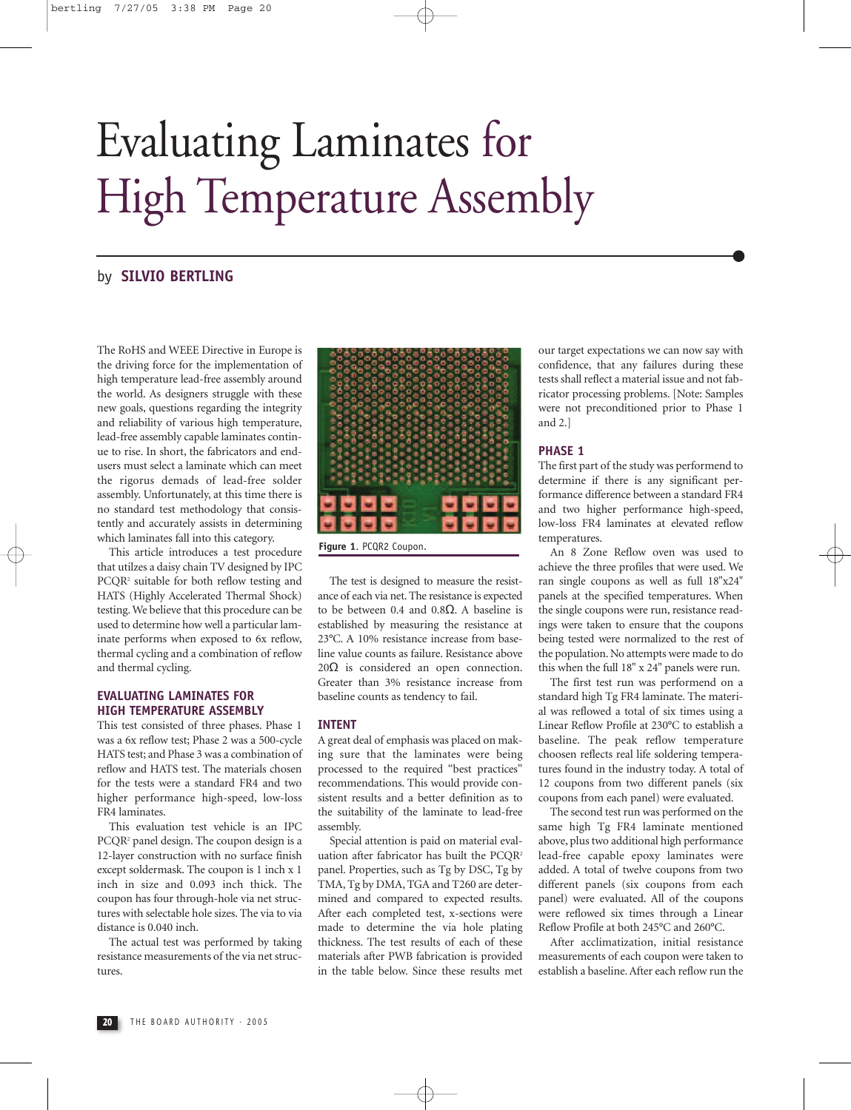## Evaluating Laminates for High Temperature Assembly

#### by **SILVIO BERTLING**

The RoHS and WEEE Directive in Europe is the driving force for the implementation of high temperature lead-free assembly around the world. As designers struggle with these new goals, questions regarding the integrity and reliability of various high temperature, lead-free assembly capable laminates continue to rise. In short, the fabricators and endusers must select a laminate which can meet the rigorus demads of lead-free solder assembly. Unfortunately, at this time there is no standard test methodology that consistently and accurately assists in determining which laminates fall into this category.

This article introduces a test procedure that utilzes a daisy chain TV designed by IPC PCQR2 suitable for both reflow testing and HATS (Highly Accelerated Thermal Shock) testing. We believe that this procedure can be used to determine how well a particular laminate performs when exposed to 6x reflow, thermal cycling and a combination of reflow and thermal cycling.

#### **EVALUATING LAMINATES FOR HIGH TEMPERATURE ASSEMBLY**

This test consisted of three phases. Phase 1 was a 6x reflow test; Phase 2 was a 500-cycle HATS test; and Phase 3 was a combination of reflow and HATS test. The materials chosen for the tests were a standard FR4 and two higher performance high-speed, low-loss FR4 laminates.

This evaluation test vehicle is an IPC PCQR<sup>2</sup> panel design. The coupon design is a 12-layer construction with no surface finish except soldermask. The coupon is 1 inch x 1 inch in size and 0.093 inch thick. The coupon has four through-hole via net structures with selectable hole sizes. The via to via distance is 0.040 inch.

The actual test was performed by taking resistance measurements of the via net structures.



**Figure 1**. PCQR2 Coupon.

The test is designed to measure the resistance of each via net. The resistance is expected to be between 0.4 and 0.8Ω. A baseline is established by measuring the resistance at 23°C. A 10% resistance increase from baseline value counts as failure. Resistance above  $20Ω$  is considered an open connection. Greater than 3% resistance increase from baseline counts as tendency to fail.

#### **INTENT**

A great deal of emphasis was placed on making sure that the laminates were being processed to the required "best practices" recommendations. This would provide consistent results and a better definition as to the suitability of the laminate to lead-free assembly.

Special attention is paid on material evaluation after fabricator has built the PCOR<sup>2</sup> panel. Properties, such as Tg by DSC, Tg by TMA, Tg by DMA, TGA and T260 are determined and compared to expected results. After each completed test, x-sections were made to determine the via hole plating thickness. The test results of each of these materials after PWB fabrication is provided in the table below. Since these results met

our target expectations we can now say with confidence, that any failures during these tests shall reflect a material issue and not fabricator processing problems. [Note: Samples were not preconditioned prior to Phase 1 and 2.]

#### **PHASE 1**

The first part of the study was performend to determine if there is any significant performance difference between a standard FR4 and two higher performance high-speed, low-loss FR4 laminates at elevated reflow temperatures.

An 8 Zone Reflow oven was used to achieve the three profiles that were used. We ran single coupons as well as full 18"x24" panels at the specified temperatures. When the single coupons were run, resistance readings were taken to ensure that the coupons being tested were normalized to the rest of the population. No attempts were made to do this when the full 18" x 24" panels were run.

The first test run was performend on a standard high Tg FR4 laminate. The material was reflowed a total of six times using a Linear Reflow Profile at 230°C to establish a baseline. The peak reflow temperature choosen reflects real life soldering temperatures found in the industry today. A total of 12 coupons from two different panels (six coupons from each panel) were evaluated.

The second test run was performed on the same high Tg FR4 laminate mentioned above, plus two additional high performance lead-free capable epoxy laminates were added. A total of twelve coupons from two different panels (six coupons from each panel) were evaluated. All of the coupons were reflowed six times through a Linear Reflow Profile at both 245°C and 260°C.

After acclimatization, initial resistance measurements of each coupon were taken to establish a baseline. After each reflow run the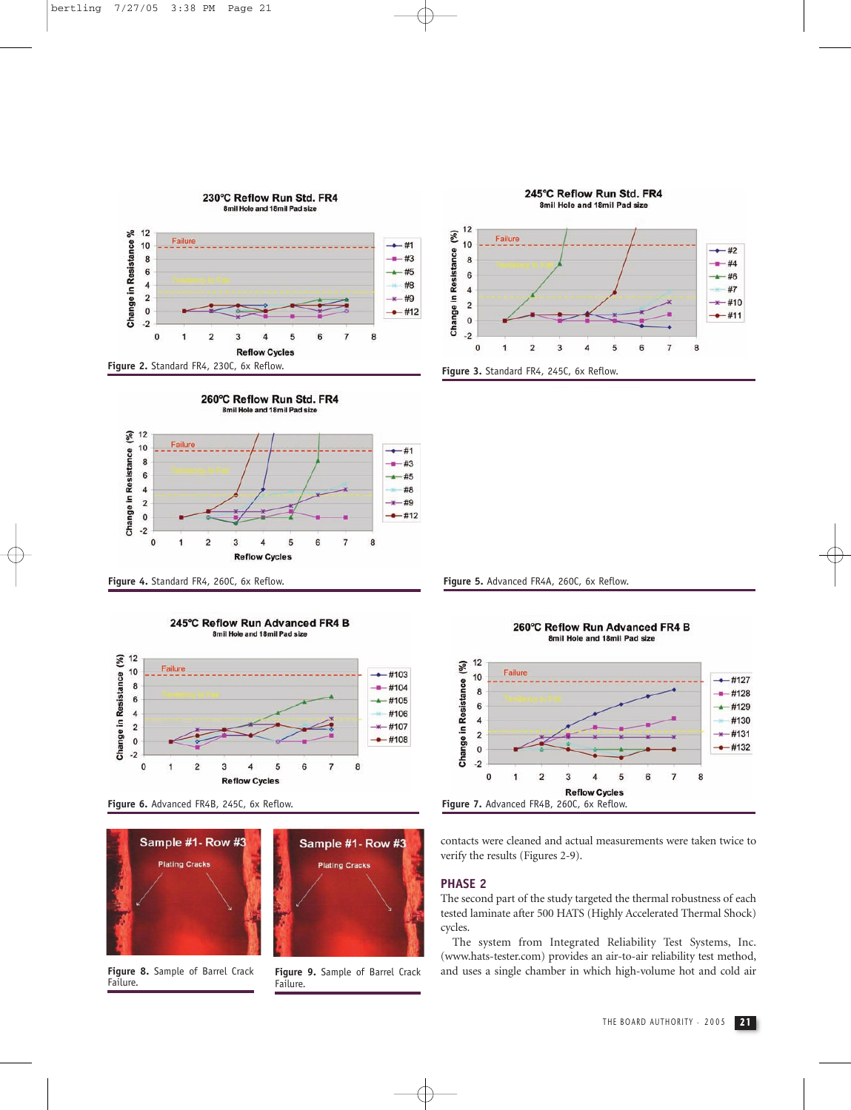

















**Figure 8.** Sample of Barrel Crack **Figure 9.** Sample of Barrel Crack **Failure**.

Failure.

Figure 4. Standard FR4, 260C, 6x Reflow. **Figure 5.** Advanced FR4A, 260C, 6x Reflow.



contacts were cleaned and actual measurements were taken twice to verify the results (Figures 2-9).

#### **PHASE 2**

The second part of the study targeted the thermal robustness of each tested laminate after 500 HATS (Highly Accelerated Thermal Shock) cycles.

The system from Integrated Reliability Test Systems, Inc. (www.hats-tester.com) provides an air-to-air reliability test method, and uses a single chamber in which high-volume hot and cold air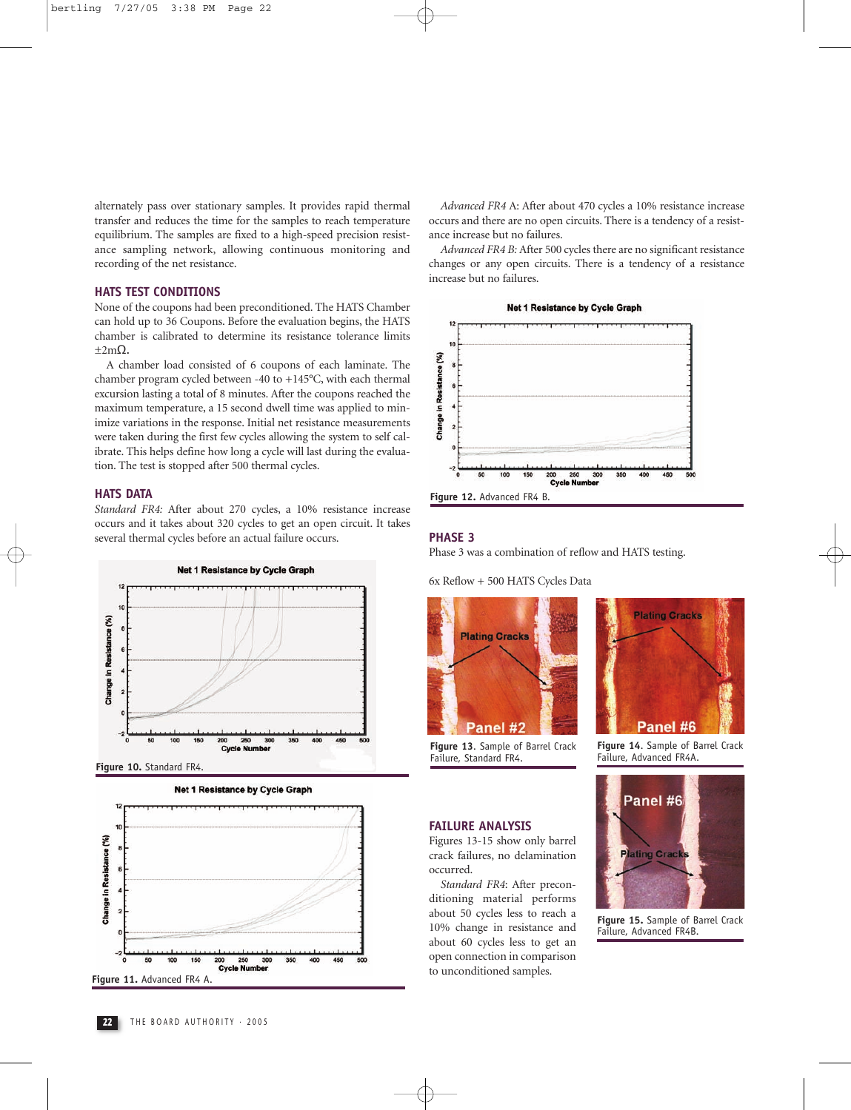alternately pass over stationary samples. It provides rapid thermal transfer and reduces the time for the samples to reach temperature equilibrium. The samples are fixed to a high-speed precision resistance sampling network, allowing continuous monitoring and recording of the net resistance.

#### **HATS TEST CONDITIONS**

None of the coupons had been preconditioned. The HATS Chamber can hold up to 36 Coupons. Before the evaluation begins, the HATS chamber is calibrated to determine its resistance tolerance limits  $\pm 2m\Omega$ .

A chamber load consisted of 6 coupons of each laminate. The chamber program cycled between -40 to +145°C, with each thermal excursion lasting a total of 8 minutes. After the coupons reached the maximum temperature, a 15 second dwell time was applied to minimize variations in the response. Initial net resistance measurements were taken during the first few cycles allowing the system to self calibrate. This helps define how long a cycle will last during the evaluation. The test is stopped after 500 thermal cycles.

#### **HATS DATA**

*Standard FR4:* After about 270 cycles, a 10% resistance increase occurs and it takes about 320 cycles to get an open circuit. It takes several thermal cycles before an actual failure occurs.



**Figure 10.** Standard FR4.







*Advanced FR4* A: After about 470 cycles a 10% resistance increase occurs and there are no open circuits. There is a tendency of a resistance increase but no failures.

*Advanced FR4 B:* After 500 cycles there are no significant resistance changes or any open circuits. There is a tendency of a resistance increase but no failures.



#### **PHASE 3**

Phase 3 was a combination of reflow and HATS testing.

6x Reflow + 500 HATS Cycles Data



**Figure 13**. Sample of Barrel Crack **Figure 14**. Sample of Barrel Crack Failure, Standard FR4.

*Standard FR4*: After preconditioning material performs

about 60 cycles less to get an open connection in comparison to unconditioned samples.

**FAILURE ANALYSIS**  Figures 13-15 show only barrel crack failures, no delamination

occurred.

# **Plating Cracks** Panel #6

Failure, Advanced FR4A.



about 50 cycles less to reach a **Figure 15.** Sample of Barrel Crack 10% change in resistance and Failure, Advanced FR4B.